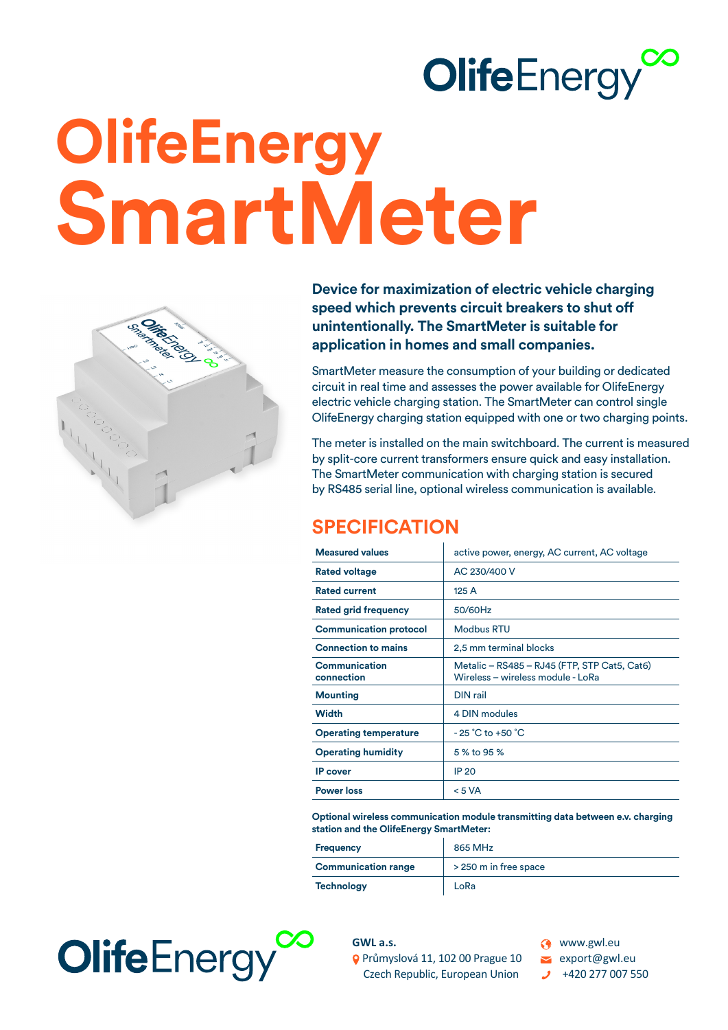## **OlifeEnergy**

# **OlifeEnergy SmartMeter**



**Device for maximization of electric vehicle charging speed which prevents circuit breakers to shut off unintentionally. The SmartMeter is suitable for application in homes and small companies.** 

SmartMeter measure the consumption of your building or dedicated circuit in real time and assesses the power available for OlifeEnergy electric vehicle charging station. The SmartMeter can control single OlifeEnergy charging station equipped with one or two charging points.

The meter is installed on the main switchboard. The current is measured by split-core current transformers ensure quick and easy installation. The SmartMeter communication with charging station is secured by RS485 serial line, optional wireless communication is available.

#### **SPECIFICATION**

| <b>Measured values</b>             | active power, energy, AC current, AC voltage                                      |
|------------------------------------|-----------------------------------------------------------------------------------|
| <b>Rated voltage</b>               | AC 230/400 V                                                                      |
| <b>Rated current</b>               | 125 A                                                                             |
| <b>Rated grid frequency</b>        | 50/60Hz                                                                           |
| <b>Communication protocol</b>      | <b>Modbus RTU</b>                                                                 |
| <b>Connection to mains</b>         | 2,5 mm terminal blocks                                                            |
| <b>Communication</b><br>connection | Metalic - RS485 - RJ45 (FTP, STP Cat5, Cat6)<br>Wireless - wireless module - LoRa |
| <b>Mounting</b>                    | DIN rail                                                                          |
| <b>Width</b>                       | 4 DIN modules                                                                     |
| <b>Operating temperature</b>       | $-25 \degree C$ to $+50 \degree C$                                                |
| <b>Operating humidity</b>          | 5 % to 95 %                                                                       |
| <b>IP</b> cover                    | <b>IP 20</b>                                                                      |
| <b>Power loss</b>                  | < 5 VA                                                                            |

**Optional wireless communication module transmitting data between e.v. charging station and the OlifeEnergy SmartMeter:**

| <b>Frequency</b>           | 865 MHz               |
|----------------------------|-----------------------|
| <b>Communication range</b> | > 250 m in free space |
| <b>Technology</b>          | LoRa                  |



**GWL a.s.**  Průmyslová 11, 102 00 Prague 10 Czech Republic, European Union

**C** www.gwl.eu export@gwl.eu

+420 277 007 550